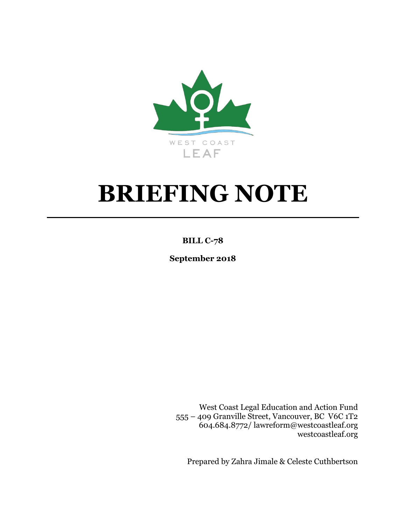

# **BRIEFING NOTE**

## **BILL C-78**

**September 2018**

West Coast Legal Education and Action Fund 555 – 409 Granville Street, Vancouver, BC V6C 1T2 604.684.8772/ lawreform@westcoastleaf.org westcoastleaf.org

Prepared by Zahra Jimale & Celeste Cuthbertson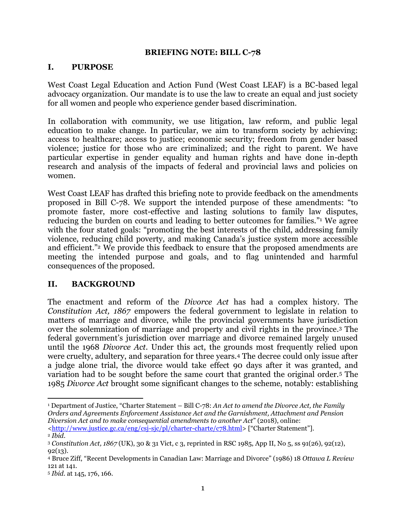#### **BRIEFING NOTE: BILL C-78**

#### **I. PURPOSE**

West Coast Legal Education and Action Fund (West Coast LEAF) is a BC-based legal advocacy organization. Our mandate is to use the law to create an equal and just society for all women and people who experience gender based discrimination.

In collaboration with community, we use litigation, law reform, and public legal education to make change. In particular, we aim to transform society by achieving: access to healthcare; access to justice; economic security; freedom from gender based violence; justice for those who are criminalized; and the right to parent. We have particular expertise in gender equality and human rights and have done in-depth research and analysis of the impacts of federal and provincial laws and policies on women.

West Coast LEAF has drafted this briefing note to provide feedback on the amendments proposed in Bill C-78. We support the intended purpose of these amendments: "to promote faster, more cost-effective and lasting solutions to family law disputes, reducing the burden on courts and leading to better outcomes for families." <sup>1</sup> We agree with the four stated goals: "promoting the best interests of the child, addressing family violence, reducing child poverty, and making Canada's justice system more accessible and efficient." <sup>2</sup> We provide this feedback to ensure that the proposed amendments are meeting the intended purpose and goals, and to flag unintended and harmful consequences of the proposed.

#### **II. BACKGROUND**

The enactment and reform of the *Divorce Act* has had a complex history. The *Constitution Act, 1867* empowers the federal government to legislate in relation to matters of marriage and divorce, while the provincial governments have jurisdiction over the solemnization of marriage and property and civil rights in the province. <sup>3</sup> The federal government's jurisdiction over marriage and divorce remained largely unused until the 1968 *Divorce Act*. Under this act, the grounds most frequently relied upon were cruelty, adultery, and separation for three years.<sup>4</sup> The decree could only issue after a judge alone trial, the divorce would take effect 90 days after it was granted, and variation had to be sought before the same court that granted the original order.<sup>5</sup> The 1985 *Divorce Act* brought some significant changes to the scheme, notably: establishing

 $\overline{a}$ 

<sup>1</sup> Department of Justice, "Charter Statement – Bill C-78: *An Act to amend the Divorce Act, the Family Orders and Agreements Enforcement Assistance Act and the Garnishment, Attachment and Pension Diversion Act and to make consequential amendments to another Act*" (2018), online: [<http://www.justice.gc.ca/eng/csj-sjc/pl/charter-charte/c78.html>](http://www.justice.gc.ca/eng/csj-sjc/pl/charter-charte/c78.html) ["Charter Statement"].

<sup>2</sup> *Ibid*. <sup>3</sup> *Constitution Act, 1867* (UK), 30 & 31 Vict, c 3, reprinted in RSC 1985, App II, No 5, ss 91(26), 92(12), 92(13).

<sup>4</sup> Bruce Ziff, "Recent Developments in Canadian Law: Marriage and Divorce" (1986) 18 *Ottawa L Review*  121 at 141.

<sup>5</sup> *Ibid.* at 145, 176, 166.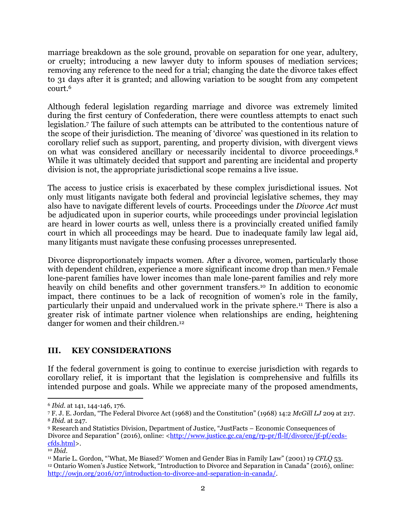marriage breakdown as the sole ground, provable on separation for one year, adultery, or cruelty; introducing a new lawyer duty to inform spouses of mediation services; removing any reference to the need for a trial; changing the date the divorce takes effect to 31 days after it is granted; and allowing variation to be sought from any competent court.<sup>6</sup>

Although federal legislation regarding marriage and divorce was extremely limited during the first century of Confederation, there were countless attempts to enact such legislation.<sup>7</sup> The failure of such attempts can be attributed to the contentious nature of the scope of their jurisdiction. The meaning of 'divorce' was questioned in its relation to corollary relief such as support, parenting, and property division, with divergent views on what was considered ancillary or necessarily incidental to divorce proceedings.<sup>8</sup> While it was ultimately decided that support and parenting are incidental and property division is not, the appropriate jurisdictional scope remains a live issue.

The access to justice crisis is exacerbated by these complex jurisdictional issues. Not only must litigants navigate both federal and provincial legislative schemes, they may also have to navigate different levels of courts. Proceedings under the *Divorce Act* must be adjudicated upon in superior courts, while proceedings under provincial legislation are heard in lower courts as well, unless there is a provincially created unified family court in which all proceedings may be heard. Due to inadequate family law legal aid, many litigants must navigate these confusing processes unrepresented.

Divorce disproportionately impacts women. After a divorce, women, particularly those with dependent children, experience a more significant income drop than men. <sup>9</sup> Female lone-parent families have lower incomes than male lone-parent families and rely more heavily on child benefits and other government transfers.<sup>10</sup> In addition to economic impact, there continues to be a lack of recognition of women's role in the family, particularly their unpaid and undervalued work in the private sphere. <sup>11</sup> There is also a greater risk of intimate partner violence when relationships are ending, heightening danger for women and their children. 12

### **III. KEY CONSIDERATIONS**

If the federal government is going to continue to exercise jurisdiction with regards to corollary relief, it is important that the legislation is comprehensive and fulfills its intended purpose and goals. While we appreciate many of the proposed amendments,

 $\overline{a}$ <sup>6</sup> *Ibid.* at 141, 144-146, 176.

<sup>7</sup> F. J. E. Jordan, "The Federal Divorce Act (1968) and the Constitution" (1968) 14:2 *McGill LJ* 209 at 217. <sup>8</sup> *Ibid.* at 247.

<sup>9</sup> Research and Statistics Division, Department of Justice, "JustFacts – Economic Consequences of Divorce and Separation" (2016), online: [<http://www.justice.gc.ca/eng/rp-pr/fl-lf/divorce/jf-pf/ecds](http://www.justice.gc.ca/eng/rp-pr/fl-lf/divorce/jf-pf/ecds-cfds.html)[cfds.html>](http://www.justice.gc.ca/eng/rp-pr/fl-lf/divorce/jf-pf/ecds-cfds.html).

<sup>10</sup> *Ibid*.

<sup>11</sup> Marie L. Gordon, "'What, Me Biased?' Women and Gender Bias in Family Law" (2001) 19 *CFLQ* 53. <sup>12</sup> Ontario Women's Justice Network, "Introduction to Divorce and Separation in Canada" (2016), online: [http://owjn.org/2016/07/introduction-to-divorce-and-separation-in-canada/.](http://owjn.org/2016/07/introduction-to-divorce-and-separation-in-canada/)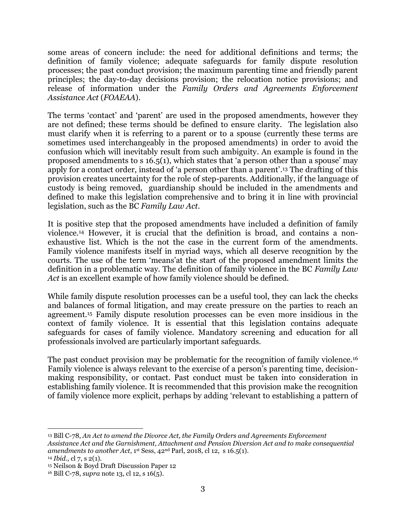some areas of concern include: the need for additional definitions and terms; the definition of family violence; adequate safeguards for family dispute resolution processes; the past conduct provision; the maximum parenting time and friendly parent principles; the day-to-day decisions provision; the relocation notice provisions; and release of information under the *Family Orders and Agreements Enforcement Assistance Act* (*FOAEAA*).

The terms 'contact' and 'parent' are used in the proposed amendments, however they are not defined; these terms should be defined to ensure clarity. The legislation also must clarify when it is referring to a parent or to a spouse (currently these terms are sometimes used interchangeably in the proposed amendments) in order to avoid the confusion which will inevitably result from such ambiguity. An example is found in the proposed amendments to s 16.5(1), which states that 'a person other than a spouse' may apply for a contact order, instead of 'a person other than a parent'. <sup>13</sup> The drafting of this provision creates uncertainty for the role of step-parents. Additionally, if the language of custody is being removed, guardianship should be included in the amendments and defined to make this legislation comprehensive and to bring it in line with provincial legislation, such as the BC *Family Law Act*.

It is positive step that the proposed amendments have included a definition of family violence.<sup>14</sup> However, it is crucial that the definition is broad, and contains a nonexhaustive list. Which is the not the case in the current form of the amendments. Family violence manifests itself in myriad ways, which all deserve recognition by the courts. The use of the term 'means'at the start of the proposed amendment limits the definition in a problematic way. The definition of family violence in the BC *Family Law Act* is an excellent example of how family violence should be defined.

While family dispute resolution processes can be a useful tool, they can lack the checks and balances of formal litigation, and may create pressure on the parties to reach an agreement.<sup>15</sup> Family dispute resolution processes can be even more insidious in the context of family violence. It is essential that this legislation contains adequate safeguards for cases of family violence. Mandatory screening and education for all professionals involved are particularly important safeguards.

The past conduct provision may be problematic for the recognition of family violence.<sup>16</sup> Family violence is always relevant to the exercise of a person's parenting time, decisionmaking responsibility, or contact. Past conduct must be taken into consideration in establishing family violence. It is recommended that this provision make the recognition of family violence more explicit, perhaps by adding 'relevant to establishing a pattern of

 $\overline{\phantom{a}}$ <sup>13</sup> Bill C-78, *An Act to amend the Divorce Act, the Family Orders and Agreements Enforcement Assistance Act and the Garnishment, Attachment and Pension Diversion Act and to make consequential amendments to another Act*,  $1^{st}$  Sess,  $42^{nd}$  Parl, 2018, cl 12, s 16.5(1).

<sup>14</sup> *Ibid.*, cl 7, s 2(1).

<sup>15</sup> Neilson & Boyd Draft Discussion Paper 12

<sup>16</sup> Bill C-78, *supra* note 13, cl 12, s 16(5).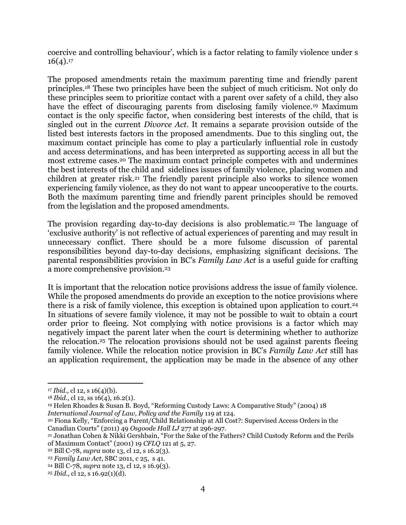coercive and controlling behaviour', which is a factor relating to family violence under s  $16(4).17$ 

The proposed amendments retain the maximum parenting time and friendly parent principles.<sup>18</sup> These two principles have been the subject of much criticism. Not only do these principles seem to prioritize contact with a parent over safety of a child, they also have the effect of discouraging parents from disclosing family violence.<sup>19</sup> Maximum contact is the only specific factor, when considering best interests of the child, that is singled out in the current *Divorce Act.* It remains a separate provision outside of the listed best interests factors in the proposed amendments. Due to this singling out, the maximum contact principle has come to play a particularly influential role in custody and access determinations, and has been interpreted as supporting access in all but the most extreme cases. <sup>20</sup> The maximum contact principle competes with and undermines the best interests of the child and sidelines issues of family violence, placing women and children at greater risk.<sup>21</sup> The friendly parent principle also works to silence women experiencing family violence, as they do not want to appear uncooperative to the courts. Both the maximum parenting time and friendly parent principles should be removed from the legislation and the proposed amendments.

The provision regarding day-to-day decisions is also problematic.<sup>22</sup> The language of 'exclusive authority' is not reflective of actual experiences of parenting and may result in unnecessary conflict. There should be a more fulsome discussion of parental responsibilities beyond day-to-day decisions, emphasizing significant decisions. The parental responsibilities provision in BC's *Family Law Act* is a useful guide for crafting a more comprehensive provision.<sup>23</sup>

It is important that the relocation notice provisions address the issue of family violence. While the proposed amendments do provide an exception to the notice provisions where there is a risk of family violence, this exception is obtained upon application to court.<sup>24</sup> In situations of severe family violence, it may not be possible to wait to obtain a court order prior to fleeing. N0t complying with notice provisions is a factor which may negatively impact the parent later when the court is determining whether to authorize the relocation. <sup>25</sup> The relocation provisions should not be used against parents fleeing family violence. While the relocation notice provision in BC's *Family Law Act* still has an application requirement, the application may be made in the absence of any other

 $\overline{\phantom{a}}$ 

<sup>17</sup> *Ibid.*, cl 12, s 16(4)(b).

<sup>18</sup> *Ibid.*, cl 12, ss 16(4), 16.2(1).

<sup>19</sup> Helen Rhoades & Susan B. Boyd, "Reforming Custody Laws: A Comparative Study" (2004) 18 *International Journal of Law, Policy and the Family* 119 at 124.

<sup>20</sup> Fiona Kelly, "Enforcing a Parent/Child Relationship at All Cost?: Supervised Access Orders in the Canadian Courts" (2011) 49 *Osgoode Hall LJ* 277 at 296-297.

<sup>21</sup> Jonathan Cohen & Nikki Gershbain, "For the Sake of the Fathers? Child Custody Reform and the Perils of Maximum Contact" (2001) 19 *CFLQ* 121 at 5, 27.

<sup>22</sup> Bill C-78, *supra* note 13, cl 12, s 16.2(3).

<sup>23</sup> *Family Law Act*, SBC 2011, c 25, s 41.

<sup>24</sup> Bill C-78, *supra* note 13, cl 12, s 16.9(3).

<sup>25</sup> *Ibid.,* cl 12, s 16.92(1)(d).